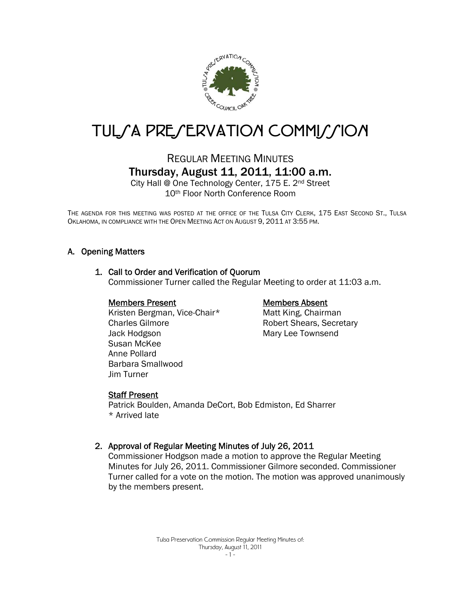

# TUL/A PRE/ERVATION COMMI//ION

# REGULAR MEETING MINUTES Thursday, August 11, 2011, 11:00 a.m.

City Hall @ One Technology Center, 175 E. 2nd Street 10th Floor North Conference Room

THE AGENDA FOR THIS MEETING WAS POSTED AT THE OFFICE OF THE TULSA CITY CLERK, 175 EAST SECOND ST., TULSA OKLAHOMA, IN COMPLIANCE WITH THE OPEN MEETING ACT ON AUGUST 9, 2011 AT 3:55 PM.

# A. Opening Matters

#### 1. Call to Order and Verification of Quorum

Commissioner Turner called the Regular Meeting to order at 11:03 a.m.

#### Members Present

 Kristen Bergman, Vice-Chair\* Charles Gilmore Jack Hodgson Susan McKee Anne Pollard Barbara Smallwood Jim Turner

#### Members Absent

Matt King, Chairman Robert Shears, Secretary Mary Lee Townsend

#### Staff Present

Patrick Boulden, Amanda DeCort, Bob Edmiston, Ed Sharrer \* Arrived late

#### 2. Approval of Regular Meeting Minutes of July 26, 2011

Commissioner Hodgson made a motion to approve the Regular Meeting Minutes for July 26, 2011. Commissioner Gilmore seconded. Commissioner Turner called for a vote on the motion. The motion was approved unanimously by the members present.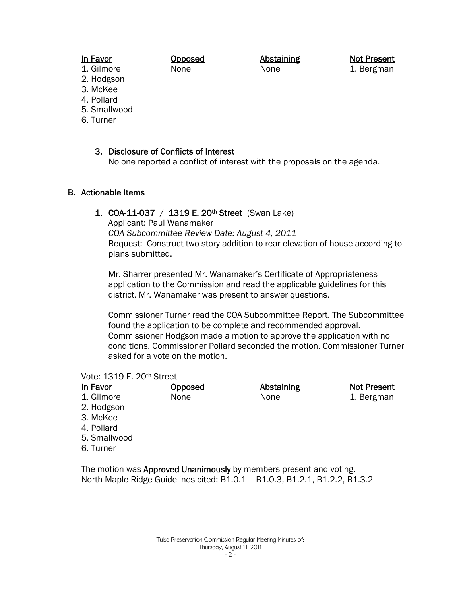# In Favor

Opposed None

Abstaining None

Not Present 1. Bergman

- 1. Gilmore 2. Hodgson
- 3. McKee
- 4. Pollard
- 5. Smallwood
- 6. Turner

#### 3. Disclosure of Conflicts of Interest

No one reported a conflict of interest with the proposals on the agenda.

#### B. Actionable Items

#### 1. COA-11-037 / 1319 E. 20<sup>th</sup> Street (Swan Lake)

Applicant: Paul Wanamaker

*COA Subcommittee Review Date: August 4, 2011*  Request: Construct two-story addition to rear elevation of house according to plans submitted.

Mr. Sharrer presented Mr. Wanamaker's Certificate of Appropriateness application to the Commission and read the applicable guidelines for this district. Mr. Wanamaker was present to answer questions.

Commissioner Turner read the COA Subcommittee Report. The Subcommittee found the application to be complete and recommended approval. Commissioner Hodgson made a motion to approve the application with no conditions. Commissioner Pollard seconded the motion. Commissioner Turner asked for a vote on the motion.

#### Vote: 1319 E. 20th Street

| In Favor     | Opposed | <b>Abstaining</b> | <b>Not Present</b> |
|--------------|---------|-------------------|--------------------|
| 1. Gilmore   | None    | None              | 1. Bergman         |
| 2. Hodgson   |         |                   |                    |
| 3. McKee     |         |                   |                    |
| 4. Pollard   |         |                   |                    |
| 5. Smallwood |         |                   |                    |
| 6. Turner    |         |                   |                    |
|              |         |                   |                    |

The motion was Approved Unanimously by members present and voting. North Maple Ridge Guidelines cited: B1.0.1 – B1.0.3, B1.2.1, B1.2.2, B1.3.2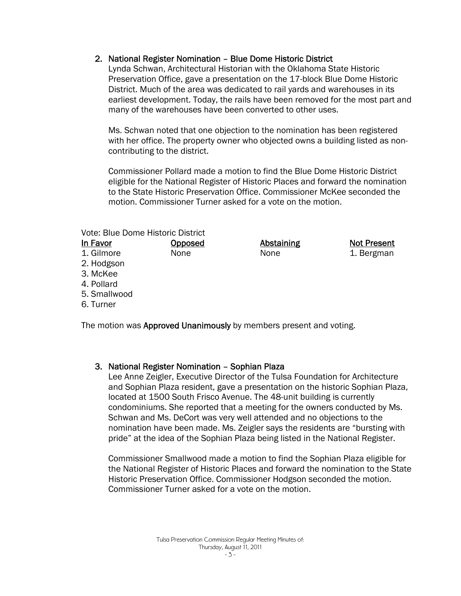## 2. National Register Nomination – Blue Dome Historic District

Lynda Schwan, Architectural Historian with the Oklahoma State Historic Preservation Office, gave a presentation on the 17-block Blue Dome Historic District. Much of the area was dedicated to rail yards and warehouses in its earliest development. Today, the rails have been removed for the most part and many of the warehouses have been converted to other uses.

Ms. Schwan noted that one objection to the nomination has been registered with her office. The property owner who objected owns a building listed as noncontributing to the district.

Commissioner Pollard made a motion to find the Blue Dome Historic District eligible for the National Register of Historic Places and forward the nomination to the State Historic Preservation Office. Commissioner McKee seconded the motion. Commissioner Turner asked for a vote on the motion.

Vote: Blue Dome Historic District

| In Favor     | <u>Opposed</u> | <b>Abstaining</b> | <b>Not Present</b> |
|--------------|----------------|-------------------|--------------------|
| 1. Gilmore   | None           | None              | 1. Bergman         |
| 2. Hodgson   |                |                   |                    |
| 3. McKee     |                |                   |                    |
| 4. Pollard   |                |                   |                    |
| 5. Smallwood |                |                   |                    |
| 6. Turner    |                |                   |                    |
|              |                |                   |                    |

The motion was Approved Unanimously by members present and voting.

#### 3. National Register Nomination – Sophian Plaza

Lee Anne Zeigler, Executive Director of the Tulsa Foundation for Architecture and Sophian Plaza resident, gave a presentation on the historic Sophian Plaza, located at 1500 South Frisco Avenue. The 48-unit building is currently condominiums. She reported that a meeting for the owners conducted by Ms. Schwan and Ms. DeCort was very well attended and no objections to the nomination have been made. Ms. Zeigler says the residents are "bursting with pride" at the idea of the Sophian Plaza being listed in the National Register.

Commissioner Smallwood made a motion to find the Sophian Plaza eligible for the National Register of Historic Places and forward the nomination to the State Historic Preservation Office. Commissioner Hodgson seconded the motion. Commissioner Turner asked for a vote on the motion.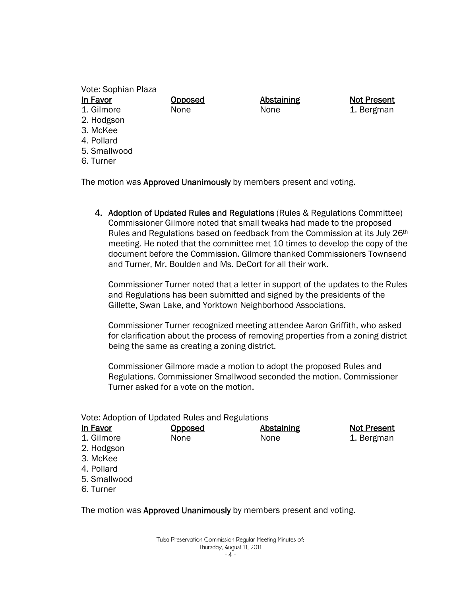Vote: Sophian Plaza

# In Favor

- 1. Gilmore
- 2. Hodgson
- 3. McKee
- 4. Pollard
- 5. Smallwood
- 6. Turner

The motion was Approved Unanimously by members present and voting.

Opposed None

4. Adoption of Updated Rules and Regulations (Rules & Regulations Committee) Commissioner Gilmore noted that small tweaks had made to the proposed Rules and Regulations based on feedback from the Commission at its July 26<sup>th</sup> meeting. He noted that the committee met 10 times to develop the copy of the document before the Commission. Gilmore thanked Commissioners Townsend and Turner, Mr. Boulden and Ms. DeCort for all their work.

Abstaining None

Not Present 1. Bergman

Commissioner Turner noted that a letter in support of the updates to the Rules and Regulations has been submitted and signed by the presidents of the Gillette, Swan Lake, and Yorktown Neighborhood Associations.

Commissioner Turner recognized meeting attendee Aaron Griffith, who asked for clarification about the process of removing properties from a zoning district being the same as creating a zoning district.

Commissioner Gilmore made a motion to adopt the proposed Rules and Regulations. Commissioner Smallwood seconded the motion. Commissioner Turner asked for a vote on the motion.

Vote: Adoption of Updated Rules and Regulations

| In Favor     | <u>Opposed</u> | <b>Abstaining</b> | <b>Not Present</b> |
|--------------|----------------|-------------------|--------------------|
| 1. Gilmore   | None           | None              | 1. Bergman         |
| 2. Hodgson   |                |                   |                    |
| 3. McKee     |                |                   |                    |
| 4. Pollard   |                |                   |                    |
| 5. Smallwood |                |                   |                    |
| 6. Turner    |                |                   |                    |
|              |                |                   |                    |

The motion was **Approved Unanimously** by members present and voting.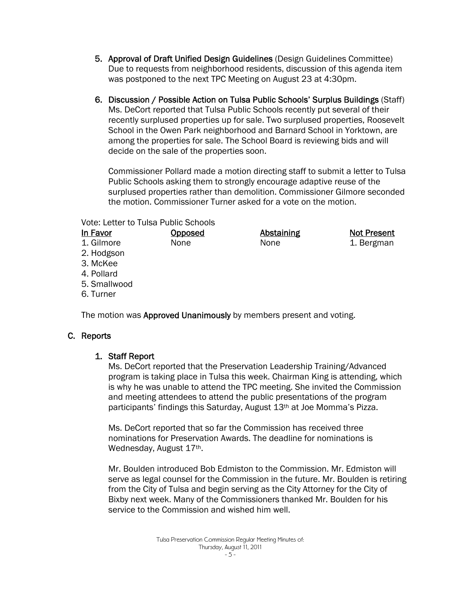- 5. Approval of Draft Unified Design Guidelines (Design Guidelines Committee) Due to requests from neighborhood residents, discussion of this agenda item was postponed to the next TPC Meeting on August 23 at 4:30pm.
- 6. Discussion / Possible Action on Tulsa Public Schools' Surplus Buildings (Staff) Ms. DeCort reported that Tulsa Public Schools recently put several of their recently surplused properties up for sale. Two surplused properties, Roosevelt School in the Owen Park neighborhood and Barnard School in Yorktown, are among the properties for sale. The School Board is reviewing bids and will decide on the sale of the properties soon.

Commissioner Pollard made a motion directing staff to submit a letter to Tulsa Public Schools asking them to strongly encourage adaptive reuse of the surplused properties rather than demolition. Commissioner Gilmore seconded the motion. Commissioner Turner asked for a vote on the motion.

Vote: Letter to Tulsa Public Schools

| In Favor     | <b>Opposed</b> | <b>Abstaining</b> | <b>Not Present</b> |
|--------------|----------------|-------------------|--------------------|
| 1. Gilmore   | None           | None              | 1. Bergman         |
| 2. Hodgson   |                |                   |                    |
| 3. McKee     |                |                   |                    |
| 4. Pollard   |                |                   |                    |
| 5. Smallwood |                |                   |                    |
| 6. Turner    |                |                   |                    |
|              |                |                   |                    |

The motion was **Approved Unanimously** by members present and voting.

# C. Reports

# 1. Staff Report

Ms. DeCort reported that the Preservation Leadership Training/Advanced program is taking place in Tulsa this week. Chairman King is attending, which is why he was unable to attend the TPC meeting. She invited the Commission and meeting attendees to attend the public presentations of the program participants' findings this Saturday, August 13<sup>th</sup> at Joe Momma's Pizza.

Ms. DeCort reported that so far the Commission has received three nominations for Preservation Awards. The deadline for nominations is Wednesday, August 17th.

Mr. Boulden introduced Bob Edmiston to the Commission. Mr. Edmiston will serve as legal counsel for the Commission in the future. Mr. Boulden is retiring from the City of Tulsa and begin serving as the City Attorney for the City of Bixby next week. Many of the Commissioners thanked Mr. Boulden for his service to the Commission and wished him well.